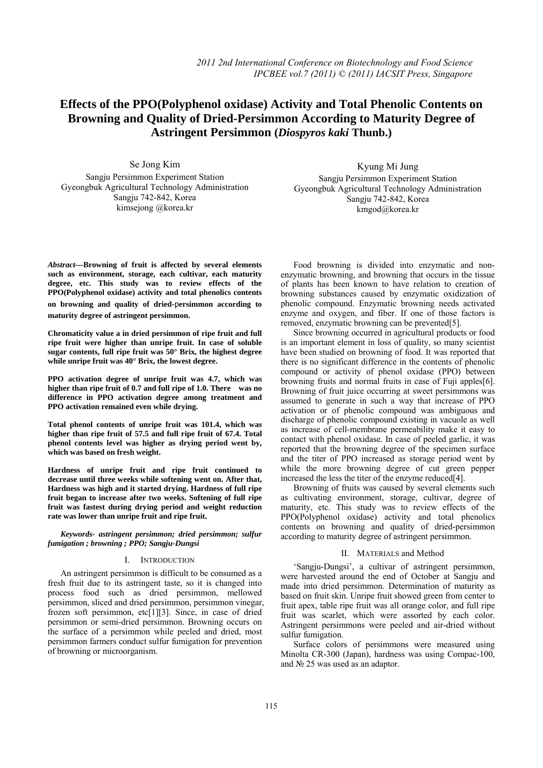# **Effects of the PPO(Polyphenol oxidase) Activity and Total Phenolic Contents on**   **Browning and Quality of Dried-Persimmon According to Maturity Degree of Astringent Persimmon (***Diospyros kaki* **Thunb.)**

Se Jong Kim Sangju Persimmon Experiment Station Gyeongbuk Agricultural Technology Administration Sangju 742-842, Korea kimsejong @korea.kr

Kyung Mi Jung Sangju Persimmon Experiment Station Gyeongbuk Agricultural Technology Administration Sangju 742-842, Korea kmgod@korea.kr

*Abstract—***Browning of fruit is affected by several elements such as environment, storage, each cultivar, each maturity degree, etc. This study was to review effects of the PPO(Polyphenol oxidase) activity and total phenolics contents** 

**on browning and quality of dried-**p**ersimmon according to maturity degree of astringent persimmon.** 

**Chromaticity value a in dried persimmon of ripe fruit and full ripe fruit were higher than unripe fruit. In case of soluble sugar contents, full ripe fruit was 50° Brix, the highest degree while unripe fruit was 40° Brix, the lowest degree.** 

**PPO activation degree of unripe fruit was 4.7, which was higher than ripe fruit of 0.7 and full ripe of 1.0. There was no difference in PPO activation degree among treatment and PPO activation remained even while drying.** 

**Total phenol contents of unripe fruit was 101.4, which was higher than ripe fruit of 57.5 and full ripe fruit of 67.4. Total phenol contents level was higher as drying period went by, which was based on fresh weight.** 

**Hardness of unripe fruit and ripe fruit continued to decrease until three weeks while softening went on. After that, Hardness was high and it started drying. Hardness of full ripe fruit began to increase after two weeks. Softening of full ripe fruit was fastest during drying period and weight reduction rate was lower than unripe fruit and ripe fruit.** 

*Keywords- astringent persimmon; dried persimmon; sulfur fumigation ; browning ; PPO; Sangju-Dungsi* 

## I. INTRODUCTION

An astringent persimmon is difficult to be consumed as a fresh fruit due to its astringent taste, so it is changed into process food such as dried persimmon, mellowed persimmon, sliced and dried persimmon, persimmon vinegar, frozen soft persimmon, etc[1][3]. Since, in case of dried persimmon or semi-dried persimmon. Browning occurs on the surface of a persimmon while peeled and dried, most persimmon farmers conduct sulfur fumigation for prevention of browning or microorganism.

Food browning is divided into enzymatic and nonenzymatic browning, and browning that occurs in the tissue of plants has been known to have relation to creation of browning substances caused by enzymatic oxidization of phenolic compound. Enzymatic browning needs activated enzyme and oxygen, and fiber. If one of those factors is removed, enzymatic browning can be prevented[5].

Since browning occurred in agricultural products or food is an important element in loss of quality, so many scientist have been studied on browning of food. It was reported that there is no significant difference in the contents of phenolic compound or activity of phenol oxidase (PPO) between browning fruits and normal fruits in case of Fuji apples[6]. Browning of fruit juice occurring at sweet persimmons was assumed to generate in such a way that increase of PPO activation or of phenolic compound was ambiguous and discharge of phenolic compound existing in vacuole as well as increase of cell-membrane permeability make it easy to contact with phenol oxidase. In case of peeled garlic, it was reported that the browning degree of the specimen surface and the titer of PPO increased as storage period went by while the more browning degree of cut green pepper increased the less the titer of the enzyme reduced[4].

Browning of fruits was caused by several elements such as cultivating environment, storage, cultivar, degree of maturity, etc. This study was to review effects of the PPO(Polyphenol oxidase) activity and total phenolics contents on browning and quality of dried-persimmon according to maturity degree of astringent persimmon.

# II. MATERIALS and Method

'Sangju-Dungsi', a cultivar of astringent persimmon, were harvested around the end of October at Sangju and made into dried persimmon. Determination of maturity as based on fruit skin. Unripe fruit showed green from center to fruit apex, table ripe fruit was all orange color, and full ripe fruit was scarlet, which were assorted by each color. Astringent persimmons were peeled and air-dried without sulfur fumigation.

Surface colors of persimmons were measured using Minolta CR-300 (Japan), hardness was using Compac-100, and № 25 was used as an adaptor.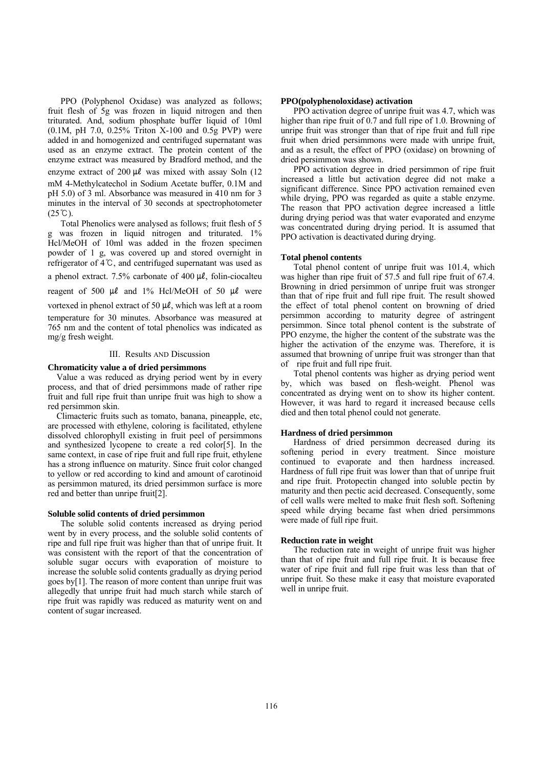PPO (Polyphenol Oxidase) was analyzed as follows; fruit flesh of 5g was frozen in liquid nitrogen and then triturated. And, sodium phosphate buffer liquid of 10ml (0.1M, pH 7.0, 0.25% Triton X-100 and 0.5g PVP) were added in and homogenized and centrifuged supernatant was used as an enzyme extract. The protein content of the enzyme extract was measured by Bradford method, and the

enzyme extract of  $200 \mu\ell$  was mixed with assay Soln (12) mM 4-Methylcatechol in Sodium Acetate buffer, 0.1M and pH 5.0) of 3 ml. Absorbance was measured in 410 nm for 3 minutes in the interval of 30 seconds at spectrophotometer  $(25^{\circ}C).$ 

Total Phenolics were analysed as follows; fruit flesh of 5 was frozen in liquid nitrogen and triturated. 1% Hcl/MeOH of 10ml was added in the frozen specimen powder of 1 g, was covered up and stored overnight in refrigerator of 4℃, and centrifuged supernatant was used as a phenol extract. 7.5% carbonate of 400  $\mu$ l, folin-ciocalteu reagent of 500  $\mu$ l and 1% Hcl/MeOH of 50  $\mu$ l were vortexed in phenol extract of 50  $\mu$ l, which was left at a room temperature for 30 minutes. Absorbance was measured at 765 nm and the content of total phenolics was indicated as mg/g fresh weight.

## III. Results AND Discussion

#### **Chromaticity value a of dried persimmons**

Value a was reduced as drying period went by in every process, and that of dried persimmons made of rather ripe fruit and full ripe fruit than unripe fruit was high to show a red persimmon skin.

Climacteric fruits such as tomato, banana, pineapple, etc, are processed with ethylene, coloring is facilitated, ethylene dissolved chlorophyll existing in fruit peel of persimmons and synthesized lycopene to create a red color[5]. In the same context, in case of ripe fruit and full ripe fruit, ethylene has a strong influence on maturity. Since fruit color changed to yellow or red according to kind and amount of carotinoid as persimmon matured, its dried persimmon surface is more red and better than unripe fruit[2].

# **Soluble solid contents of dried persimmon**

The soluble solid contents increased as drying period went by in every process, and the soluble solid contents of ripe and full ripe fruit was higher than that of unripe fruit. It was consistent with the report of that the concentration of soluble sugar occurs with evaporation of moisture to increase the soluble solid contents gradually as drying period goes by[1]. The reason of more content than unripe fruit was allegedly that unripe fruit had much starch while starch of ripe fruit was rapidly was reduced as maturity went on and content of sugar increased.

#### **PPO(polyphenoloxidase) activation**

PPO activation degree of unripe fruit was 4.7, which was higher than ripe fruit of 0.7 and full ripe of 1.0. Browning of unripe fruit was stronger than that of ripe fruit and full ripe fruit when dried persimmons were made with unripe fruit, and as a result, the effect of PPO (oxidase) on browning of dried persimmon was shown.

PPO activation degree in dried persimmon of ripe fruit increased a little but activation degree did not make a significant difference. Since PPO activation remained even while drying, PPO was regarded as quite a stable enzyme. The reason that PPO activation degree increased a little during drying period was that water evaporated and enzyme was concentrated during drying period. It is assumed that PPO activation is deactivated during drying.

#### **Total phenol contents**

Total phenol content of unripe fruit was 101.4, which was higher than ripe fruit of 57.5 and full ripe fruit of 67.4. Browning in dried persimmon of unripe fruit was stronger than that of ripe fruit and full ripe fruit. The result showed the effect of total phenol content on browning of dried persimmon according to maturity degree of astringent persimmon. Since total phenol content is the substrate of PPO enzyme, the higher the content of the substrate was the higher the activation of the enzyme was. Therefore, it is assumed that browning of unripe fruit was stronger than that of ripe fruit and full ripe fruit.

Total phenol contents was higher as drying period went by, which was based on flesh-weight. Phenol was concentrated as drying went on to show its higher content. However, it was hard to regard it increased because cells died and then total phenol could not generate.

# **Hardness of dried persimmon**

Hardness of dried persimmon decreased during its softening period in every treatment. Since moisture continued to evaporate and then hardness increased. Hardness of full ripe fruit was lower than that of unripe fruit and ripe fruit. Protopectin changed into soluble pectin by maturity and then pectic acid decreased. Consequently, some of cell walls were melted to make fruit flesh soft. Softening speed while drying became fast when dried persimmons were made of full ripe fruit.

#### **Reduction rate in weight**

The reduction rate in weight of unripe fruit was higher than that of ripe fruit and full ripe fruit. It is because free water of ripe fruit and full ripe fruit was less than that of unripe fruit. So these make it easy that moisture evaporated well in unripe fruit.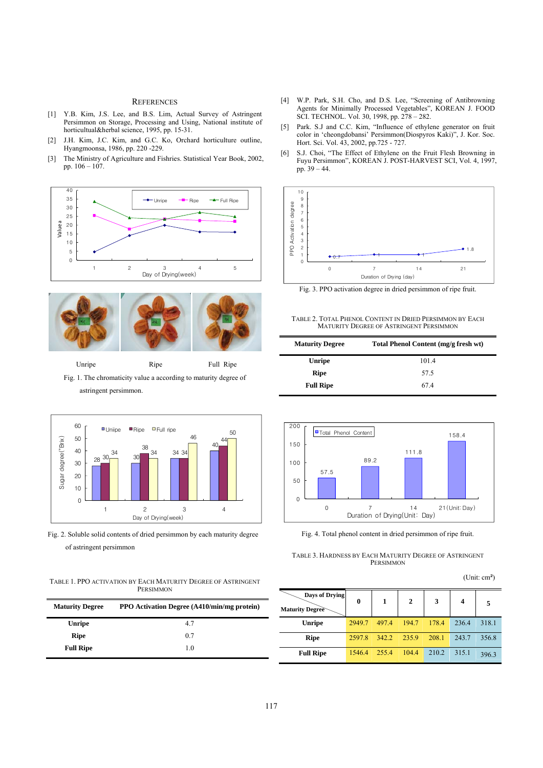#### **REFERENCES**

- [1] Y.B. Kim, J.S. Lee, and B.S. Lim, Actual Survey of Astringent Persimmon on Storage, Processing and Using, National institute of horticultual&herbal science, 1995, pp. 15-31.
- [2] J.H. Kim, J.C. Kim, and G.C. Ko, Orchard horticulture outline, Hyangmoonsa, 1986, pp. 220 -229.
- [3] The Ministry of Agriculture and Fishries. Statistical Year Book, 2002, pp. 106 – 107.





Unripe Ripe Full Ripe Fig. 1. The chromaticity value a according to maturity degree of astringent persimmon.



Fig. 2. Soluble solid contents of dried persimmon by each maturity degree of astringent persimmon

TABLE 1. PPO ACTIVATION BY EACH MATURITY DEGREE OF ASTRINGENT PERSIMMON

| <b>Maturity Degree</b> | <b>PPO Activation Degree (A410/min/mg protein)</b> |  |  |  |  |
|------------------------|----------------------------------------------------|--|--|--|--|
| <b>Unripe</b>          | 47                                                 |  |  |  |  |
| <b>Ripe</b>            | 0.7                                                |  |  |  |  |
| <b>Full Ripe</b>       | 1.0                                                |  |  |  |  |

- [4] W.P. Park, S.H. Cho, and D.S. Lee, "Screening of Antibrowning Agents for Minimally Processed Vegetables", KOREAN J. FOOD SCI. TECHNOL. Vol. 30, 1998, pp. 278 – 282.
- [5] Park. S.J and C.C. Kim, "Influence of ethylene generator on fruit color in 'cheongdobansi' Persimmon(Diospyros Kaki)", J. Kor. Soc. Hort. Sci. Vol. 43, 2002, pp.725 - 727.
- [6] S.J. Choi, "The Effect of Ethylene on the Fruit Flesh Browning in Fuyu Persimmon", KOREAN J. POST-HARVEST SCI, Vol. 4, 1997, pp. 39 – 44.



Fig. 3. PPO activation degree in dried persimmon of ripe fruit.



| <b>Maturity Degree</b> | Total Phenol Content (mg/g fresh wt) |  |  |  |
|------------------------|--------------------------------------|--|--|--|
| Unripe                 | 101.4                                |  |  |  |
| Ripe                   | 57.5                                 |  |  |  |
| <b>Full Ripe</b>       | 674                                  |  |  |  |



Fig. 4. Total phenol content in dried persimmon of ripe fruit.

TABLE 3. HARDNESS BY EACH MATURITY DEGREE OF ASTRINGENT PERSIMMON

(Unit: cm²)

| Days of Drying<br><b>Maturity Degree</b> | 0      | 1     | $\overline{2}$ | 3     | 4     | 5     |
|------------------------------------------|--------|-------|----------------|-------|-------|-------|
| <b>Unripe</b>                            | 2949.7 | 497.4 | 194.7          | 178.4 | 236.4 | 318.1 |
| <b>Ripe</b>                              | 2597.8 | 342.2 | 235.9          | 208.1 | 243.7 | 356.8 |
| <b>Full Ripe</b>                         | 1546.4 | 255.4 | 104.4          | 210.2 | 315.1 | 396.3 |